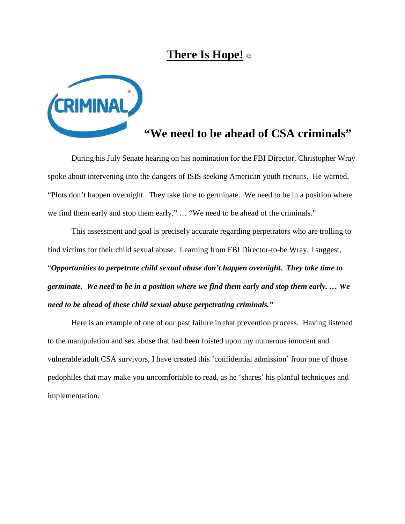## **There Is Hope! ©**



## **"We need to be ahead of CSA criminals"**

During his July Senate hearing on his nomination for the FBI Director, Christopher Wray spoke about intervening into the dangers of ISIS seeking American youth recruits. He warned, "Plots don't happen overnight. They take time to germinate. We need to be in a position where we find them early and stop them early." … "We need to be ahead of the criminals."

This assessment and goal is precisely accurate regarding perpetrators who are trolling to find victims for their child sexual abuse. Learning from FBI Director-to-be Wray, I suggest, "*Opportunities to perpetrate child sexual abuse don't happen overnight. They take time to germinate. We need to be in a position where we find them early and stop them early. … We need to be ahead of these child sexual abuse perpetrating criminals."* 

Here is an example of one of our past failure in that prevention process. Having listened to the manipulation and sex abuse that had been foisted upon my numerous innocent and vulnerable adult CSA survivors, I have created this 'confidential admission' from one of those pedophiles that may make you uncomfortable to read, as he 'shares' his planful techniques and implementation.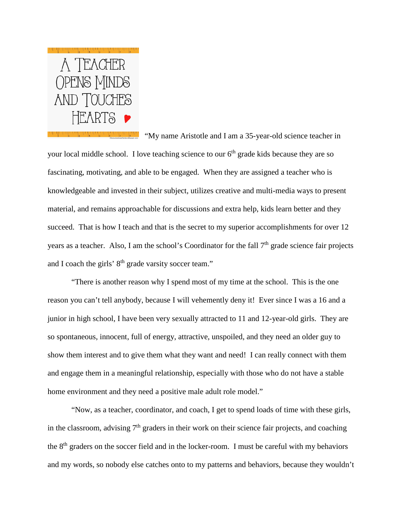

 "My name Aristotle and I am a 35-year-old science teacher in your local middle school. I love teaching science to our  $6<sup>th</sup>$  grade kids because they are so fascinating, motivating, and able to be engaged. When they are assigned a teacher who is knowledgeable and invested in their subject, utilizes creative and multi-media ways to present material, and remains approachable for discussions and extra help, kids learn better and they succeed. That is how I teach and that is the secret to my superior accomplishments for over 12 years as a teacher. Also, I am the school's Coordinator for the fall  $7<sup>th</sup>$  grade science fair projects and I coach the girls' 8<sup>th</sup> grade varsity soccer team."

"There is another reason why I spend most of my time at the school. This is the one reason you can't tell anybody, because I will vehemently deny it! Ever since I was a 16 and a junior in high school, I have been very sexually attracted to 11 and 12-year-old girls. They are so spontaneous, innocent, full of energy, attractive, unspoiled, and they need an older guy to show them interest and to give them what they want and need! I can really connect with them and engage them in a meaningful relationship, especially with those who do not have a stable home environment and they need a positive male adult role model."

"Now, as a teacher, coordinator, and coach, I get to spend loads of time with these girls, in the classroom, advising  $7<sup>th</sup>$  graders in their work on their science fair projects, and coaching the  $8<sup>th</sup>$  graders on the soccer field and in the locker-room. I must be careful with my behaviors and my words, so nobody else catches onto to my patterns and behaviors, because they wouldn't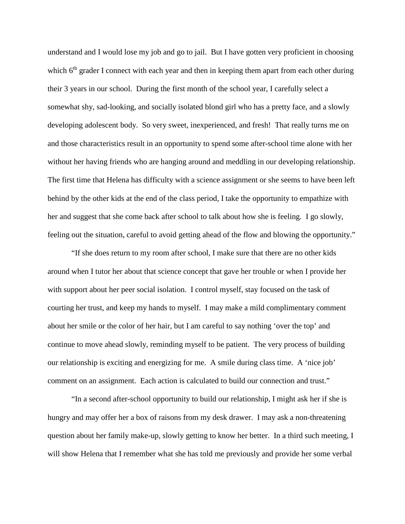understand and I would lose my job and go to jail. But I have gotten very proficient in choosing which 6<sup>th</sup> grader I connect with each year and then in keeping them apart from each other during their 3 years in our school. During the first month of the school year, I carefully select a somewhat shy, sad-looking, and socially isolated blond girl who has a pretty face, and a slowly developing adolescent body. So very sweet, inexperienced, and fresh! That really turns me on and those characteristics result in an opportunity to spend some after-school time alone with her without her having friends who are hanging around and meddling in our developing relationship. The first time that Helena has difficulty with a science assignment or she seems to have been left behind by the other kids at the end of the class period, I take the opportunity to empathize with her and suggest that she come back after school to talk about how she is feeling. I go slowly, feeling out the situation, careful to avoid getting ahead of the flow and blowing the opportunity."

"If she does return to my room after school, I make sure that there are no other kids around when I tutor her about that science concept that gave her trouble or when I provide her with support about her peer social isolation. I control myself, stay focused on the task of courting her trust, and keep my hands to myself. I may make a mild complimentary comment about her smile or the color of her hair, but I am careful to say nothing 'over the top' and continue to move ahead slowly, reminding myself to be patient. The very process of building our relationship is exciting and energizing for me. A smile during class time. A 'nice job' comment on an assignment. Each action is calculated to build our connection and trust."

"In a second after-school opportunity to build our relationship, I might ask her if she is hungry and may offer her a box of raisons from my desk drawer. I may ask a non-threatening question about her family make-up, slowly getting to know her better. In a third such meeting, I will show Helena that I remember what she has told me previously and provide her some verbal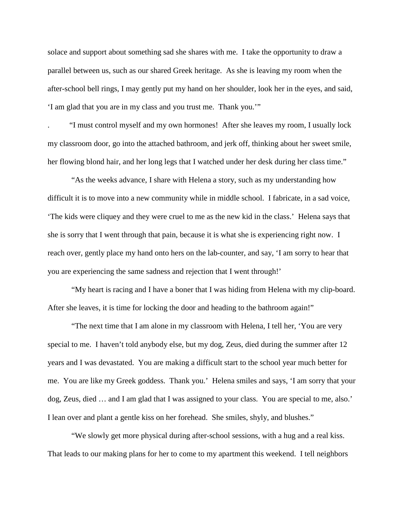solace and support about something sad she shares with me. I take the opportunity to draw a parallel between us, such as our shared Greek heritage. As she is leaving my room when the after-school bell rings, I may gently put my hand on her shoulder, look her in the eyes, and said, 'I am glad that you are in my class and you trust me. Thank you.'"

. "I must control myself and my own hormones! After she leaves my room, I usually lock my classroom door, go into the attached bathroom, and jerk off, thinking about her sweet smile, her flowing blond hair, and her long legs that I watched under her desk during her class time."

"As the weeks advance, I share with Helena a story, such as my understanding how difficult it is to move into a new community while in middle school. I fabricate, in a sad voice, 'The kids were cliquey and they were cruel to me as the new kid in the class.' Helena says that she is sorry that I went through that pain, because it is what she is experiencing right now. I reach over, gently place my hand onto hers on the lab-counter, and say, 'I am sorry to hear that you are experiencing the same sadness and rejection that I went through!'

"My heart is racing and I have a boner that I was hiding from Helena with my clip-board. After she leaves, it is time for locking the door and heading to the bathroom again!"

"The next time that I am alone in my classroom with Helena, I tell her, 'You are very special to me. I haven't told anybody else, but my dog, Zeus, died during the summer after 12 years and I was devastated. You are making a difficult start to the school year much better for me. You are like my Greek goddess. Thank you.' Helena smiles and says, 'I am sorry that your dog, Zeus, died … and I am glad that I was assigned to your class. You are special to me, also.' I lean over and plant a gentle kiss on her forehead. She smiles, shyly, and blushes."

"We slowly get more physical during after-school sessions, with a hug and a real kiss. That leads to our making plans for her to come to my apartment this weekend. I tell neighbors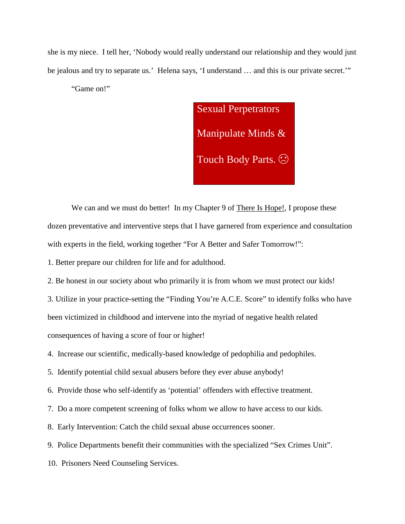she is my niece. I tell her, 'Nobody would really understand our relationship and they would just be jealous and try to separate us.' Helena says, 'I understand … and this is our private secret.'" "Game on!"

Sexual Perpetrators Manipulate Minds & Touch Body Parts.  $\odot$ 

We can and we must do better! In my Chapter 9 of There Is Hope!, I propose these dozen preventative and interventive steps that I have garnered from experience and consultation with experts in the field, working together "For A Better and Safer Tomorrow!":

1. Better prepare our children for life and for adulthood.

2. Be honest in our society about who primarily it is from whom we must protect our kids!

3. Utilize in your practice-setting the "Finding You're A.C.E. Score" to identify folks who have been victimized in childhood and intervene into the myriad of negative health related consequences of having a score of four or higher!

4. Increase our scientific, medically-based knowledge of pedophilia and pedophiles.

5. Identify potential child sexual abusers before they ever abuse anybody!

6. Provide those who self-identify as 'potential' offenders with effective treatment.

7. Do a more competent screening of folks whom we allow to have access to our kids.

8. Early Intervention: Catch the child sexual abuse occurrences sooner.

9. Police Departments benefit their communities with the specialized "Sex Crimes Unit".

10. Prisoners Need Counseling Services.